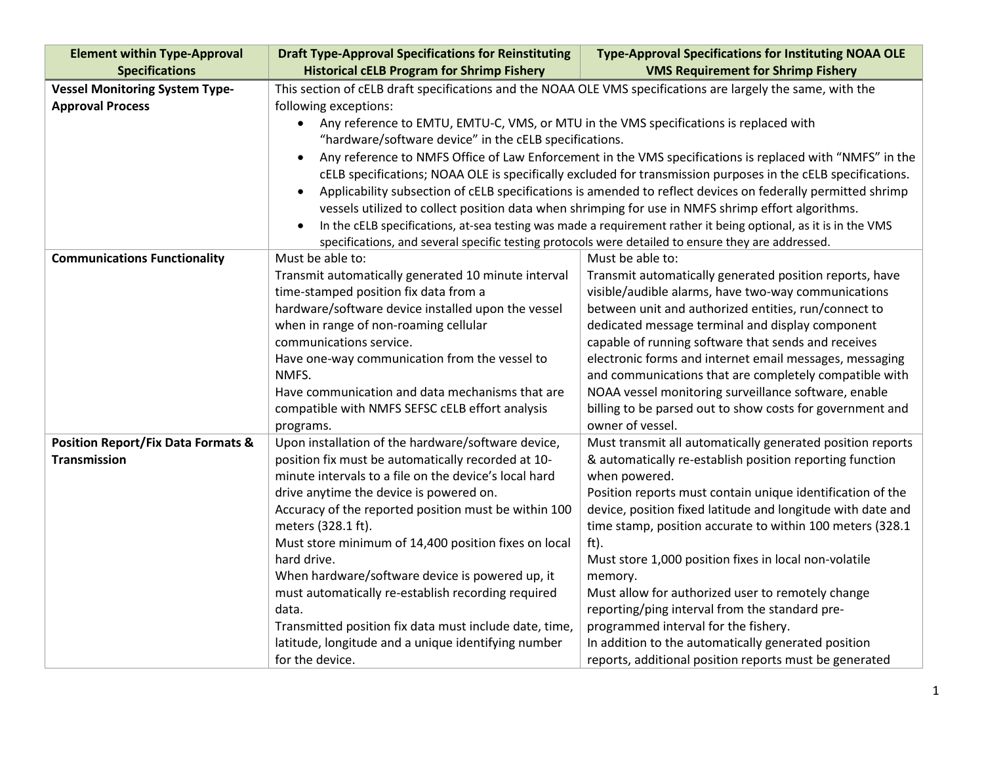| <b>Element within Type-Approval</b><br><b>Specifications</b>         | <b>Draft Type-Approval Specifications for Reinstituting</b><br><b>Historical cELB Program for Shrimp Fishery</b>         | <b>Type-Approval Specifications for Instituting NOAA OLE</b><br><b>VMS Requirement for Shrimp Fishery</b> |  |
|----------------------------------------------------------------------|--------------------------------------------------------------------------------------------------------------------------|-----------------------------------------------------------------------------------------------------------|--|
| <b>Vessel Monitoring System Type-</b>                                | This section of cELB draft specifications and the NOAA OLE VMS specifications are largely the same, with the             |                                                                                                           |  |
| <b>Approval Process</b>                                              | following exceptions:                                                                                                    |                                                                                                           |  |
|                                                                      | Any reference to EMTU, EMTU-C, VMS, or MTU in the VMS specifications is replaced with<br>$\bullet$                       |                                                                                                           |  |
|                                                                      | "hardware/software device" in the cELB specifications.                                                                   |                                                                                                           |  |
|                                                                      | Any reference to NMFS Office of Law Enforcement in the VMS specifications is replaced with "NMFS" in the<br>$\bullet$    |                                                                                                           |  |
|                                                                      | cELB specifications; NOAA OLE is specifically excluded for transmission purposes in the cELB specifications.             |                                                                                                           |  |
|                                                                      | Applicability subsection of cELB specifications is amended to reflect devices on federally permitted shrimp<br>$\bullet$ |                                                                                                           |  |
|                                                                      | vessels utilized to collect position data when shrimping for use in NMFS shrimp effort algorithms.                       |                                                                                                           |  |
|                                                                      | In the cELB specifications, at-sea testing was made a requirement rather it being optional, as it is in the VMS          |                                                                                                           |  |
|                                                                      | specifications, and several specific testing protocols were detailed to ensure they are addressed.                       |                                                                                                           |  |
| <b>Communications Functionality</b>                                  | Must be able to:                                                                                                         | Must be able to:                                                                                          |  |
|                                                                      | Transmit automatically generated 10 minute interval                                                                      | Transmit automatically generated position reports, have                                                   |  |
|                                                                      | time-stamped position fix data from a                                                                                    | visible/audible alarms, have two-way communications                                                       |  |
|                                                                      | hardware/software device installed upon the vessel                                                                       | between unit and authorized entities, run/connect to                                                      |  |
|                                                                      | when in range of non-roaming cellular                                                                                    | dedicated message terminal and display component                                                          |  |
|                                                                      | communications service.                                                                                                  | capable of running software that sends and receives                                                       |  |
|                                                                      | Have one-way communication from the vessel to                                                                            | electronic forms and internet email messages, messaging                                                   |  |
|                                                                      | NMFS.                                                                                                                    | and communications that are completely compatible with                                                    |  |
|                                                                      | Have communication and data mechanisms that are                                                                          | NOAA vessel monitoring surveillance software, enable                                                      |  |
|                                                                      | compatible with NMFS SEFSC cELB effort analysis                                                                          | billing to be parsed out to show costs for government and                                                 |  |
|                                                                      | programs.                                                                                                                | owner of vessel.                                                                                          |  |
| <b>Position Report/Fix Data Formats &amp;</b><br><b>Transmission</b> | Upon installation of the hardware/software device,<br>position fix must be automatically recorded at 10-                 | Must transmit all automatically generated position reports                                                |  |
|                                                                      | minute intervals to a file on the device's local hard                                                                    | & automatically re-establish position reporting function<br>when powered.                                 |  |
|                                                                      | drive anytime the device is powered on.                                                                                  | Position reports must contain unique identification of the                                                |  |
|                                                                      | Accuracy of the reported position must be within 100                                                                     | device, position fixed latitude and longitude with date and                                               |  |
|                                                                      | meters (328.1 ft).                                                                                                       | time stamp, position accurate to within 100 meters (328.1)                                                |  |
|                                                                      | Must store minimum of 14,400 position fixes on local                                                                     | ft).                                                                                                      |  |
|                                                                      | hard drive.                                                                                                              | Must store 1,000 position fixes in local non-volatile                                                     |  |
|                                                                      | When hardware/software device is powered up, it                                                                          | memory.                                                                                                   |  |
|                                                                      | must automatically re-establish recording required                                                                       | Must allow for authorized user to remotely change                                                         |  |
|                                                                      | data.                                                                                                                    | reporting/ping interval from the standard pre-                                                            |  |
|                                                                      | Transmitted position fix data must include date, time,                                                                   | programmed interval for the fishery.                                                                      |  |
|                                                                      | latitude, longitude and a unique identifying number                                                                      | In addition to the automatically generated position                                                       |  |
|                                                                      | for the device.                                                                                                          | reports, additional position reports must be generated                                                    |  |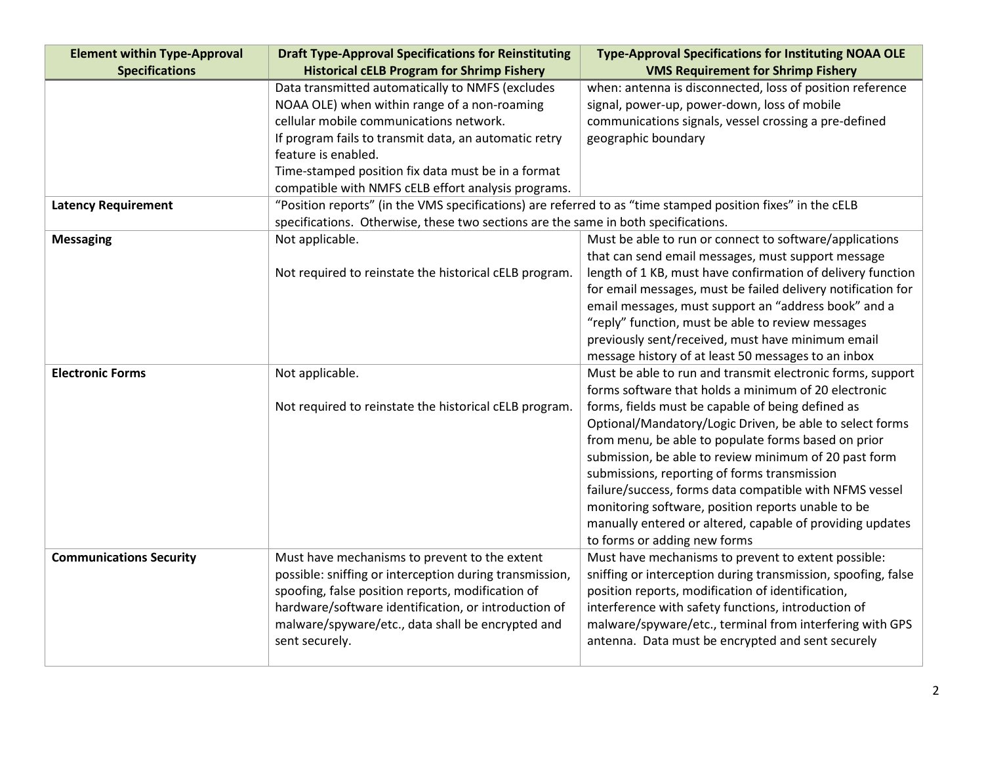| <b>Element within Type-Approval</b> | <b>Draft Type-Approval Specifications for Reinstituting</b>                                                 | <b>Type-Approval Specifications for Instituting NOAA OLE</b>                                                  |  |
|-------------------------------------|-------------------------------------------------------------------------------------------------------------|---------------------------------------------------------------------------------------------------------------|--|
| <b>Specifications</b>               | <b>Historical cELB Program for Shrimp Fishery</b>                                                           | <b>VMS Requirement for Shrimp Fishery</b>                                                                     |  |
|                                     | Data transmitted automatically to NMFS (excludes                                                            | when: antenna is disconnected, loss of position reference                                                     |  |
|                                     | NOAA OLE) when within range of a non-roaming                                                                | signal, power-up, power-down, loss of mobile                                                                  |  |
|                                     | cellular mobile communications network.                                                                     | communications signals, vessel crossing a pre-defined                                                         |  |
|                                     | If program fails to transmit data, an automatic retry                                                       | geographic boundary                                                                                           |  |
|                                     | feature is enabled.                                                                                         |                                                                                                               |  |
|                                     | Time-stamped position fix data must be in a format                                                          |                                                                                                               |  |
|                                     | compatible with NMFS cELB effort analysis programs.                                                         |                                                                                                               |  |
| <b>Latency Requirement</b>          | "Position reports" (in the VMS specifications) are referred to as "time stamped position fixes" in the cELB |                                                                                                               |  |
|                                     | specifications. Otherwise, these two sections are the same in both specifications.                          |                                                                                                               |  |
| <b>Messaging</b>                    | Not applicable.                                                                                             | Must be able to run or connect to software/applications                                                       |  |
|                                     |                                                                                                             | that can send email messages, must support message                                                            |  |
|                                     | Not required to reinstate the historical cELB program.                                                      | length of 1 KB, must have confirmation of delivery function                                                   |  |
|                                     |                                                                                                             | for email messages, must be failed delivery notification for                                                  |  |
|                                     |                                                                                                             | email messages, must support an "address book" and a                                                          |  |
|                                     |                                                                                                             | "reply" function, must be able to review messages                                                             |  |
|                                     |                                                                                                             | previously sent/received, must have minimum email                                                             |  |
|                                     |                                                                                                             | message history of at least 50 messages to an inbox                                                           |  |
| <b>Electronic Forms</b>             | Not applicable.                                                                                             | Must be able to run and transmit electronic forms, support                                                    |  |
|                                     |                                                                                                             | forms software that holds a minimum of 20 electronic                                                          |  |
|                                     | Not required to reinstate the historical cELB program.                                                      | forms, fields must be capable of being defined as                                                             |  |
|                                     |                                                                                                             | Optional/Mandatory/Logic Driven, be able to select forms                                                      |  |
|                                     |                                                                                                             | from menu, be able to populate forms based on prior                                                           |  |
|                                     |                                                                                                             | submission, be able to review minimum of 20 past form                                                         |  |
|                                     |                                                                                                             | submissions, reporting of forms transmission                                                                  |  |
|                                     |                                                                                                             | failure/success, forms data compatible with NFMS vessel                                                       |  |
|                                     |                                                                                                             | monitoring software, position reports unable to be                                                            |  |
|                                     |                                                                                                             | manually entered or altered, capable of providing updates                                                     |  |
|                                     |                                                                                                             | to forms or adding new forms                                                                                  |  |
| <b>Communications Security</b>      | Must have mechanisms to prevent to the extent                                                               | Must have mechanisms to prevent to extent possible:                                                           |  |
|                                     | possible: sniffing or interception during transmission,                                                     | sniffing or interception during transmission, spoofing, false                                                 |  |
|                                     | spoofing, false position reports, modification of                                                           | position reports, modification of identification,                                                             |  |
|                                     | hardware/software identification, or introduction of                                                        | interference with safety functions, introduction of                                                           |  |
|                                     |                                                                                                             |                                                                                                               |  |
|                                     | malware/spyware/etc., data shall be encrypted and<br>sent securely.                                         | malware/spyware/etc., terminal from interfering with GPS<br>antenna. Data must be encrypted and sent securely |  |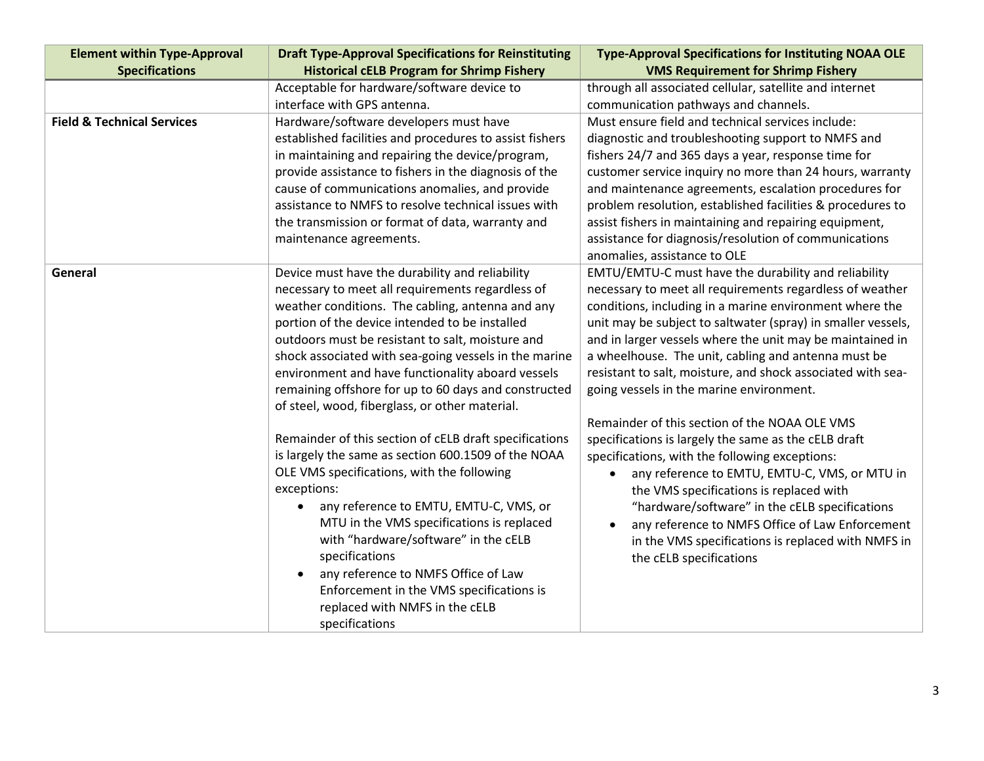| <b>Element within Type-Approval</b>   | <b>Draft Type-Approval Specifications for Reinstituting</b> | <b>Type-Approval Specifications for Instituting NOAA OLE</b> |
|---------------------------------------|-------------------------------------------------------------|--------------------------------------------------------------|
| <b>Specifications</b>                 | <b>Historical cELB Program for Shrimp Fishery</b>           | <b>VMS Requirement for Shrimp Fishery</b>                    |
|                                       | Acceptable for hardware/software device to                  | through all associated cellular, satellite and internet      |
|                                       | interface with GPS antenna.                                 | communication pathways and channels.                         |
| <b>Field &amp; Technical Services</b> | Hardware/software developers must have                      | Must ensure field and technical services include:            |
|                                       | established facilities and procedures to assist fishers     | diagnostic and troubleshooting support to NMFS and           |
|                                       | in maintaining and repairing the device/program,            | fishers 24/7 and 365 days a year, response time for          |
|                                       | provide assistance to fishers in the diagnosis of the       | customer service inquiry no more than 24 hours, warranty     |
|                                       | cause of communications anomalies, and provide              | and maintenance agreements, escalation procedures for        |
|                                       | assistance to NMFS to resolve technical issues with         | problem resolution, established facilities & procedures to   |
|                                       | the transmission or format of data, warranty and            | assist fishers in maintaining and repairing equipment,       |
|                                       | maintenance agreements.                                     | assistance for diagnosis/resolution of communications        |
|                                       |                                                             | anomalies, assistance to OLE                                 |
| General                               | Device must have the durability and reliability             | EMTU/EMTU-C must have the durability and reliability         |
|                                       | necessary to meet all requirements regardless of            | necessary to meet all requirements regardless of weather     |
|                                       | weather conditions. The cabling, antenna and any            | conditions, including in a marine environment where the      |
|                                       | portion of the device intended to be installed              | unit may be subject to saltwater (spray) in smaller vessels, |
|                                       | outdoors must be resistant to salt, moisture and            | and in larger vessels where the unit may be maintained in    |
|                                       | shock associated with sea-going vessels in the marine       | a wheelhouse. The unit, cabling and antenna must be          |
|                                       | environment and have functionality aboard vessels           | resistant to salt, moisture, and shock associated with sea-  |
|                                       | remaining offshore for up to 60 days and constructed        | going vessels in the marine environment.                     |
|                                       | of steel, wood, fiberglass, or other material.              |                                                              |
|                                       |                                                             | Remainder of this section of the NOAA OLE VMS                |
|                                       | Remainder of this section of cELB draft specifications      | specifications is largely the same as the cELB draft         |
|                                       | is largely the same as section 600.1509 of the NOAA         | specifications, with the following exceptions:               |
|                                       | OLE VMS specifications, with the following                  | any reference to EMTU, EMTU-C, VMS, or MTU in<br>$\bullet$   |
|                                       | exceptions:                                                 | the VMS specifications is replaced with                      |
|                                       | any reference to EMTU, EMTU-C, VMS, or                      | "hardware/software" in the cELB specifications               |
|                                       | MTU in the VMS specifications is replaced                   | any reference to NMFS Office of Law Enforcement              |
|                                       | with "hardware/software" in the cELB                        | in the VMS specifications is replaced with NMFS in           |
|                                       | specifications                                              | the cELB specifications                                      |
|                                       | any reference to NMFS Office of Law                         |                                                              |
|                                       | Enforcement in the VMS specifications is                    |                                                              |
|                                       | replaced with NMFS in the cELB                              |                                                              |
|                                       | specifications                                              |                                                              |